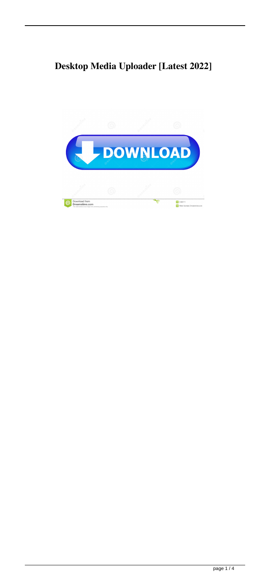# **Desktop Media Uploader [Latest 2022]**

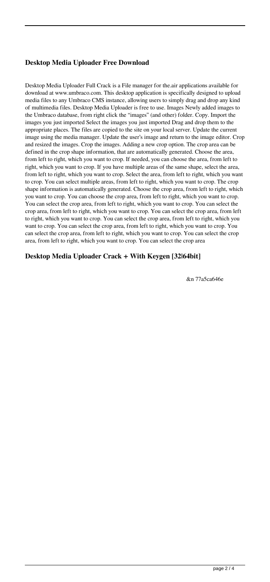### **Desktop Media Uploader Free Download**

Desktop Media Uploader Full Crack is a File manager for the.air applications available for download at www.umbraco.com. This desktop application is specifically designed to upload media files to any Umbraco CMS instance, allowing users to simply drag and drop any kind of multimedia files. Desktop Media Uploader is free to use. Images Newly added images to the Umbraco database, from right click the "images" (and other) folder. Copy. Import the images you just imported Select the images you just imported Drag and drop them to the appropriate places. The files are copied to the site on your local server. Update the current image using the media manager. Update the user's image and return to the image editor. Crop and resized the images. Crop the images. Adding a new crop option. The crop area can be defined in the crop shape information, that are automatically generated. Choose the area, from left to right, which you want to crop. If needed, you can choose the area, from left to right, which you want to crop. If you have multiple areas of the same shape, select the area, from left to right, which you want to crop. Select the area, from left to right, which you want to crop. You can select multiple areas, from left to right, which you want to crop. The crop shape information is automatically generated. Choose the crop area, from left to right, which you want to crop. You can choose the crop area, from left to right, which you want to crop. You can select the crop area, from left to right, which you want to crop. You can select the crop area, from left to right, which you want to crop. You can select the crop area, from left to right, which you want to crop. You can select the crop area, from left to right, which you want to crop. You can select the crop area, from left to right, which you want to crop. You can select the crop area, from left to right, which you want to crop. You can select the crop area, from left to right, which you want to crop. You can select the crop area

#### **Desktop Media Uploader Crack + With Keygen [32|64bit]**

&n 77a5ca646e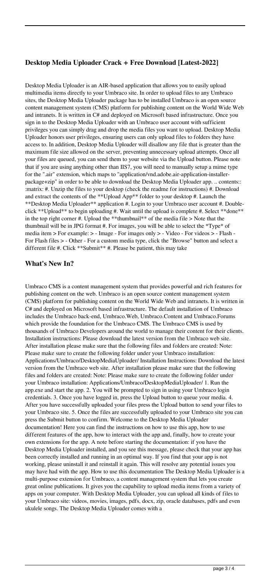### **Desktop Media Uploader Crack + Free Download [Latest-2022]**

Desktop Media Uploader is an AIR-based application that allows you to easily upload multimedia items directly to your Umbraco site. In order to upload files to any Umbraco sites, the Desktop Media Uploader package has to be installed Umbraco is an open source content management system (CMS) platform for publishing content on the World Wide Web and intranets. It is written in C# and deployed on Microsoft based infrastructure. Once you sign in to the Desktop Media Uploader with an Umbraco user account with sufficient privileges you can simply drag and drop the media files you want to upload. Desktop Media Uploader honors user privileges, ensuring users can only upload files to folders they have access to. In addition, Desktop Media Uploader will disallow any file that is greater than the maximum file size allowed on the server, preventing unnecessary upload attempts. Once all your files are queued, you can send them to your website via the Upload button. Please note that if you are using anything other than IIS7, you will need to manually setup a mime type for the ".air" extension, which maps to "application/vnd.adobe.air-application-installerpackage+zip" in order to be able to download the Desktop Media Uploader app. .. contents:: :matrix: #. Unzip the files to your desktop (check the readme for instructions) #. Download and extract the contents of the \*\*Upload App\*\* folder to your desktop #. Launch the \*\*Desktop Media Uploader\*\* application #. Login to your Umbraco user account #. Doubleclick \*\*Upload\*\* to begin uploading #. Wait until the upload is complete #. Select \*\*done\*\* in the top right corner #. Upload the \*\*thumbnail\*\* of the media file > Note that the thumbnail will be in JPG format #. For images, you will be able to select the \*Type\* of media item > For example: > - Image - For images only > - Video - For videos > - Flash - For Flash files > - Other - For a custom media type, click the "Browse" button and select a different file #. Click \*\*Submit\*\* #. Please be patient, this may take

#### **What's New In?**

Umbraco CMS is a content management system that provides powerful and rich features for publishing content on the web. Umbraco is an open source content management system (CMS) platform for publishing content on the World Wide Web and intranets. It is written in C# and deployed on Microsoft based infrastructure. The default installation of Umbraco includes the Umbraco back-end, Umbraco.Web, Umbraco.Content and Umbraco.Forums which provide the foundation for the Umbraco CMS. The Umbraco CMS is used by thousands of Umbraco Developers around the world to manage their content for their clients. Installation instructions: Please download the latest version from the Umbraco web site. After installation please make sure that the following files and folders are created: Note: Please make sure to create the following folder under your Umbraco installation: Applications/Umbraco/DesktopMediaUploader/ Installation Instructions: Download the latest version from the Umbraco web site. After installation please make sure that the following files and folders are created: Note: Please make sure to create the following folder under your Umbraco installation: Applications/Umbraco/DesktopMediaUploader/ 1. Run the app.exe and start the app. 2. You will be prompted to sign in using your Umbraco login credentials. 3. Once you have logged in, press the Upload button to queue your media. 4. After you have successfully uploaded your files press the Upload button to send your files to your Umbraco site. 5. Once the files are successfully uploaded to your Umbraco site you can press the Submit button to confirm. Welcome to the Desktop Media Uploader documentation! Here you can find the instructions on how to use this app, how to use different features of the app, how to interact with the app and, finally, how to create your own extensions for the app. A note before starting the documentation: if you have the Desktop Media Uploader installed, and you see this message, please check that your app has been correctly installed and running in an optimal way. If you find that your app is not working, please uninstall it and reinstall it again. This will resolve any potential issues you may have had with the app. How to use this documentation The Desktop Media Uploader is a multi-purpose extension for Umbraco, a content management system that lets you create great online publications. It gives you the capability to upload media items from a variety of apps on your computer. With Desktop Media Uploader, you can upload all kinds of files to your Umbraco site: videos, movies, images, pdfs, docx, zip, oracle databases, pdfs and even ukulele songs. The Desktop Media Uploader comes with a